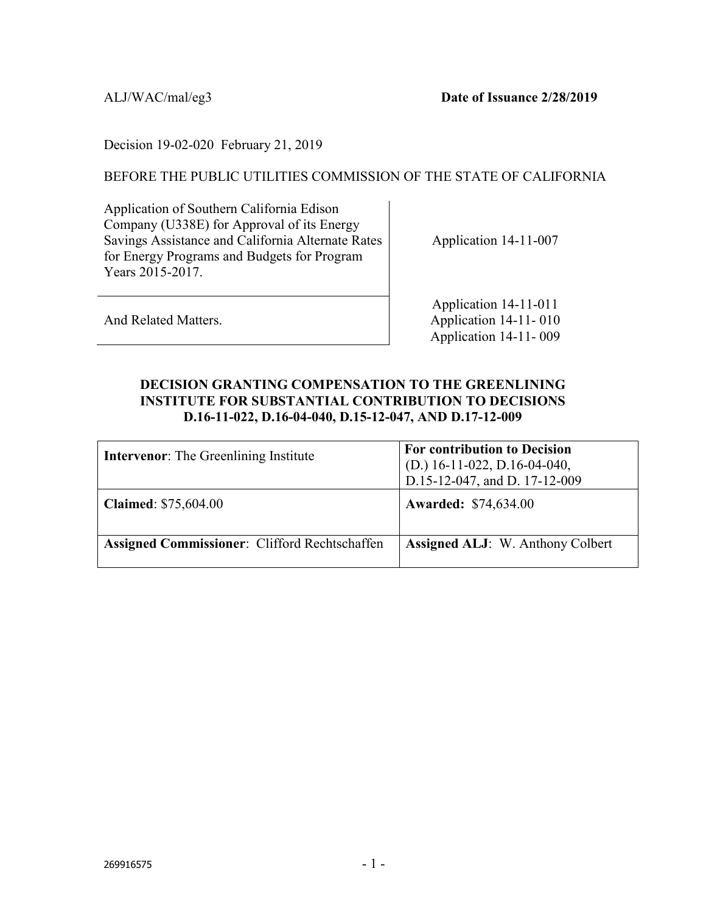Decision 19-02-020 February 21, 2019

#### BEFORE THE PUBLIC UTILITIES COMMISSION OF THE STATE OF CALIFORNIA

Application of Southern California Edison Company (U338E) for Approval of its Energy Savings Assistance and California Alternate Rates for Energy Programs and Budgets for Program Years 2015-2017.

Application 14-11-007

And Related Matters.

Application 14-11-011 Application 14-11- 010 Application 14-11- 009

#### **DECISION GRANTING COMPENSATION TO THE GREENLINING INSTITUTE FOR SUBSTANTIAL CONTRIBUTION TO DECISIONS D.16-11-022, D.16-04-040, D.15-12-047, AND D.17-12-009**

| <b>Intervenor:</b> The Greenlining Institute  | <b>For contribution to Decision</b><br>$(D.) 16-11-022, D.16-04-040,$<br>D.15-12-047, and D. 17-12-009 |
|-----------------------------------------------|--------------------------------------------------------------------------------------------------------|
| <b>Claimed:</b> \$75,604.00                   | <b>Awarded: \$74,634.00</b>                                                                            |
| Assigned Commissioner: Clifford Rechtschaffen | <b>Assigned ALJ:</b> W. Anthony Colbert                                                                |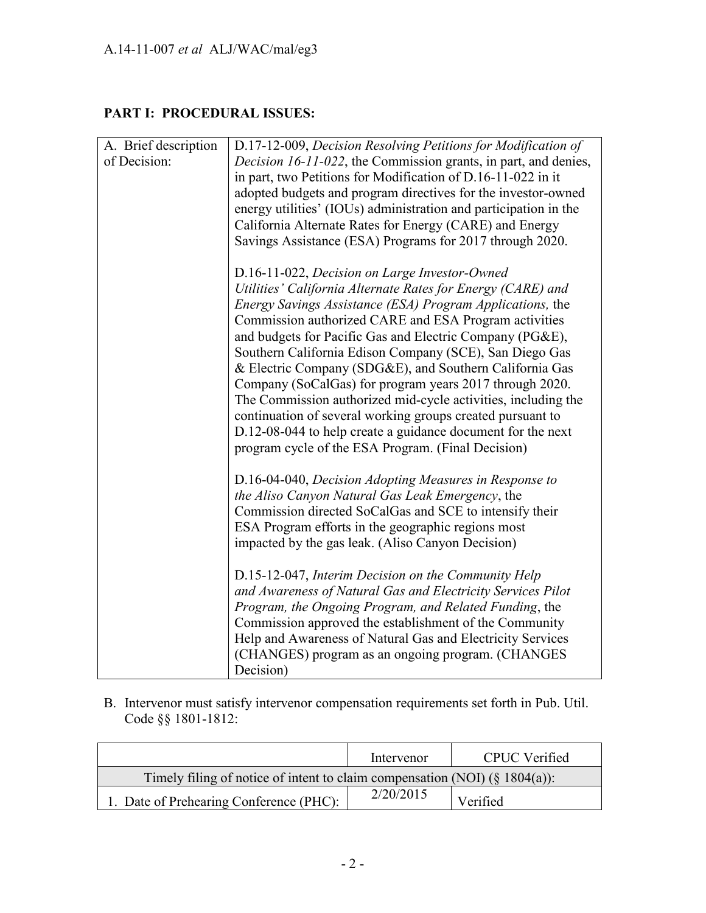## **PART I: PROCEDURAL ISSUES:**

| A. Brief description | D.17-12-009, Decision Resolving Petitions for Modification of    |
|----------------------|------------------------------------------------------------------|
| of Decision:         | Decision 16-11-022, the Commission grants, in part, and denies,  |
|                      | in part, two Petitions for Modification of D.16-11-022 in it     |
|                      | adopted budgets and program directives for the investor-owned    |
|                      | energy utilities' (IOUs) administration and participation in the |
|                      | California Alternate Rates for Energy (CARE) and Energy          |
|                      | Savings Assistance (ESA) Programs for 2017 through 2020.         |
|                      | D.16-11-022, Decision on Large Investor-Owned                    |
|                      | Utilities' California Alternate Rates for Energy (CARE) and      |
|                      | Energy Savings Assistance (ESA) Program Applications, the        |
|                      | Commission authorized CARE and ESA Program activities            |
|                      | and budgets for Pacific Gas and Electric Company (PG&E),         |
|                      | Southern California Edison Company (SCE), San Diego Gas          |
|                      | & Electric Company (SDG&E), and Southern California Gas          |
|                      | Company (SoCalGas) for program years 2017 through 2020.          |
|                      | The Commission authorized mid-cycle activities, including the    |
|                      | continuation of several working groups created pursuant to       |
|                      | D.12-08-044 to help create a guidance document for the next      |
|                      | program cycle of the ESA Program. (Final Decision)               |
|                      | D.16-04-040, Decision Adopting Measures in Response to           |
|                      | the Aliso Canyon Natural Gas Leak Emergency, the                 |
|                      | Commission directed SoCalGas and SCE to intensify their          |
|                      | ESA Program efforts in the geographic regions most               |
|                      | impacted by the gas leak. (Aliso Canyon Decision)                |
|                      | D.15-12-047, Interim Decision on the Community Help              |
|                      | and Awareness of Natural Gas and Electricity Services Pilot      |
|                      | Program, the Ongoing Program, and Related Funding, the           |
|                      | Commission approved the establishment of the Community           |
|                      | Help and Awareness of Natural Gas and Electricity Services       |
|                      | (CHANGES) program as an ongoing program. (CHANGES                |
|                      | Decision)                                                        |

B. Intervenor must satisfy intervenor compensation requirements set forth in Pub. Util. Code §§ 1801-1812:

|                                                                                | Intervenor | CPUC Verified |
|--------------------------------------------------------------------------------|------------|---------------|
| Timely filing of notice of intent to claim compensation (NOI) $(\S 1804(a))$ : |            |               |
| 1. Date of Prehearing Conference (PHC):                                        | 2/20/2015  | Verified      |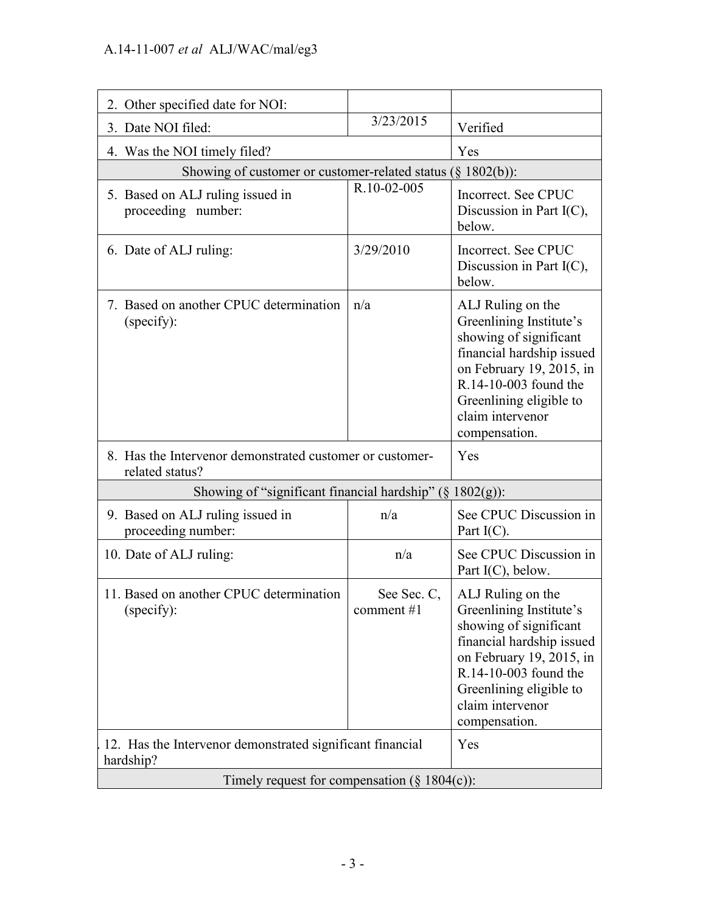| 2. Other specified date for NOI:                                            |                             |                                                                                                                                                                                                                          |
|-----------------------------------------------------------------------------|-----------------------------|--------------------------------------------------------------------------------------------------------------------------------------------------------------------------------------------------------------------------|
| 3. Date NOI filed:                                                          | 3/23/2015                   | Verified                                                                                                                                                                                                                 |
| 4. Was the NOI timely filed?                                                |                             | Yes                                                                                                                                                                                                                      |
| Showing of customer or customer-related status $(\S 1802(b))$ :             |                             |                                                                                                                                                                                                                          |
| 5. Based on ALJ ruling issued in<br>proceeding number:                      | R.10-02-005                 | Incorrect. See CPUC<br>Discussion in Part I(C),<br>below.                                                                                                                                                                |
| 6. Date of ALJ ruling:                                                      | 3/29/2010                   | Incorrect. See CPUC<br>Discussion in Part $I(C)$ ,<br>below.                                                                                                                                                             |
| 7. Based on another CPUC determination<br>(specify):                        | n/a                         | ALJ Ruling on the<br>Greenlining Institute's<br>showing of significant<br>financial hardship issued<br>on February 19, 2015, in<br>R.14-10-003 found the<br>Greenlining eligible to<br>claim intervenor<br>compensation. |
| 8. Has the Intervenor demonstrated customer or customer-<br>related status? |                             | Yes                                                                                                                                                                                                                      |
| Showing of "significant financial hardship" $(\S 1802(g))$ :                |                             |                                                                                                                                                                                                                          |
| 9. Based on ALJ ruling issued in<br>proceeding number:                      | n/a                         | See CPUC Discussion in<br>Part $I(C)$ .                                                                                                                                                                                  |
| 10. Date of ALJ ruling:                                                     | n/a                         | See CPUC Discussion in<br>Part $I(C)$ , below.                                                                                                                                                                           |
| 11. Based on another CPUC determination<br>(specify):                       | See Sec. C,<br>comment $#1$ | ALJ Ruling on the<br>Greenlining Institute's<br>showing of significant<br>financial hardship issued<br>on February 19, 2015, in<br>R.14-10-003 found the<br>Greenlining eligible to<br>claim intervenor<br>compensation. |
| 12. Has the Intervenor demonstrated significant financial<br>hardship?      |                             | Yes                                                                                                                                                                                                                      |
| Timely request for compensation $(\S 1804(c))$ :                            |                             |                                                                                                                                                                                                                          |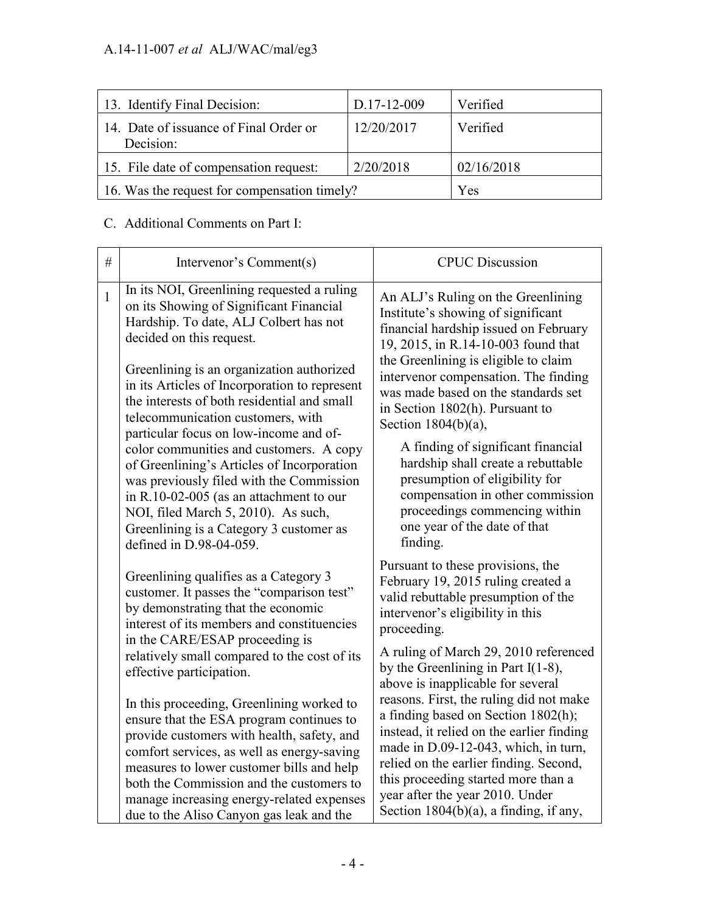| 13. Identify Final Decision:                        | D.17-12-009 | Verified   |
|-----------------------------------------------------|-------------|------------|
| 14. Date of issuance of Final Order or<br>Decision: | 12/20/2017  | Verified   |
| 15. File date of compensation request:              | 2/20/2018   | 02/16/2018 |
| 16. Was the request for compensation timely?        |             | Yes        |

C. Additional Comments on Part I:

| #            | Intervenor's Comment(s)                                                                                                                                                                                                                                                                                                                                                                                                                                                                                                                                                                                                                                                              | <b>CPUC</b> Discussion                                                                                                                                                                                                                                                                                                                                                                                                                                                                                                                                                                                                            |
|--------------|--------------------------------------------------------------------------------------------------------------------------------------------------------------------------------------------------------------------------------------------------------------------------------------------------------------------------------------------------------------------------------------------------------------------------------------------------------------------------------------------------------------------------------------------------------------------------------------------------------------------------------------------------------------------------------------|-----------------------------------------------------------------------------------------------------------------------------------------------------------------------------------------------------------------------------------------------------------------------------------------------------------------------------------------------------------------------------------------------------------------------------------------------------------------------------------------------------------------------------------------------------------------------------------------------------------------------------------|
| $\mathbf{1}$ | In its NOI, Greenlining requested a ruling<br>on its Showing of Significant Financial<br>Hardship. To date, ALJ Colbert has not<br>decided on this request.<br>Greenlining is an organization authorized<br>in its Articles of Incorporation to represent<br>the interests of both residential and small<br>telecommunication customers, with<br>particular focus on low-income and of-<br>color communities and customers. A copy<br>of Greenlining's Articles of Incorporation<br>was previously filed with the Commission<br>in R.10-02-005 (as an attachment to our<br>NOI, filed March 5, 2010). As such,<br>Greenlining is a Category 3 customer as<br>defined in D.98-04-059. | An ALJ's Ruling on the Greenlining<br>Institute's showing of significant<br>financial hardship issued on February<br>19, 2015, in R.14-10-003 found that<br>the Greenlining is eligible to claim<br>intervenor compensation. The finding<br>was made based on the standards set<br>in Section 1802(h). Pursuant to<br>Section $1804(b)(a)$ ,<br>A finding of significant financial<br>hardship shall create a rebuttable<br>presumption of eligibility for<br>compensation in other commission<br>proceedings commencing within<br>one year of the date of that<br>finding.                                                       |
|              | Greenlining qualifies as a Category 3<br>customer. It passes the "comparison test"<br>by demonstrating that the economic<br>interest of its members and constituencies<br>in the CARE/ESAP proceeding is<br>relatively small compared to the cost of its<br>effective participation.<br>In this proceeding, Greenlining worked to<br>ensure that the ESA program continues to<br>provide customers with health, safety, and<br>comfort services, as well as energy-saving<br>measures to lower customer bills and help<br>both the Commission and the customers to<br>manage increasing energy-related expenses<br>due to the Aliso Canyon gas leak and the                          | Pursuant to these provisions, the<br>February 19, 2015 ruling created a<br>valid rebuttable presumption of the<br>intervenor's eligibility in this<br>proceeding.<br>A ruling of March 29, 2010 referenced<br>by the Greenlining in Part I $(1-8)$ ,<br>above is inapplicable for several<br>reasons. First, the ruling did not make<br>a finding based on Section 1802(h);<br>instead, it relied on the earlier finding<br>made in D.09-12-043, which, in turn,<br>relied on the earlier finding. Second,<br>this proceeding started more than a<br>year after the year 2010. Under<br>Section $1804(b)(a)$ , a finding, if any, |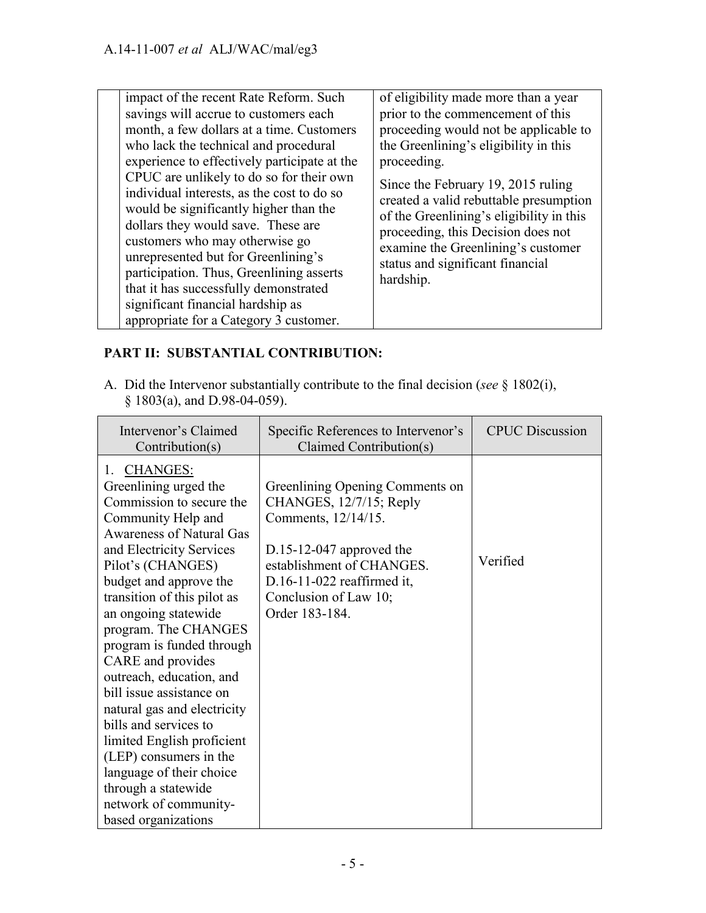| impact of the recent Rate Reform. Such<br>savings will accrue to customers each<br>month, a few dollars at a time. Customers<br>who lack the technical and procedural<br>experience to effectively participate at the<br>CPUC are unlikely to do so for their own<br>individual interests, as the cost to do so<br>would be significantly higher than the<br>dollars they would save. These are<br>customers who may otherwise go<br>unrepresented but for Greenlining's<br>participation. Thus, Greenlining asserts<br>that it has successfully demonstrated<br>significant financial hardship as | of eligibility made more than a year<br>prior to the commencement of this<br>proceeding would not be applicable to<br>the Greenlining's eligibility in this<br>proceeding.<br>Since the February 19, 2015 ruling<br>created a valid rebuttable presumption<br>of the Greenlining's eligibility in this<br>proceeding, this Decision does not<br>examine the Greenlining's customer<br>status and significant financial<br>hardship. |
|----------------------------------------------------------------------------------------------------------------------------------------------------------------------------------------------------------------------------------------------------------------------------------------------------------------------------------------------------------------------------------------------------------------------------------------------------------------------------------------------------------------------------------------------------------------------------------------------------|-------------------------------------------------------------------------------------------------------------------------------------------------------------------------------------------------------------------------------------------------------------------------------------------------------------------------------------------------------------------------------------------------------------------------------------|
|                                                                                                                                                                                                                                                                                                                                                                                                                                                                                                                                                                                                    |                                                                                                                                                                                                                                                                                                                                                                                                                                     |
| appropriate for a Category 3 customer.                                                                                                                                                                                                                                                                                                                                                                                                                                                                                                                                                             |                                                                                                                                                                                                                                                                                                                                                                                                                                     |

## **PART II: SUBSTANTIAL CONTRIBUTION:**

A. Did the Intervenor substantially contribute to the final decision (*see* § 1802(i), § 1803(a), and D.98-04-059).

| <b>CHANGES:</b><br>$1_{-}$                                                                                                                                                                                                                                                                                                                                                                                                                                                                                                                                                                                                                                                                                                                                                                                                               |  |
|------------------------------------------------------------------------------------------------------------------------------------------------------------------------------------------------------------------------------------------------------------------------------------------------------------------------------------------------------------------------------------------------------------------------------------------------------------------------------------------------------------------------------------------------------------------------------------------------------------------------------------------------------------------------------------------------------------------------------------------------------------------------------------------------------------------------------------------|--|
| Greenlining urged the<br>Greenlining Opening Comments on<br>Commission to secure the<br>CHANGES, 12/7/15; Reply<br>Comments, 12/14/15.<br>Community Help and<br><b>Awareness of Natural Gas</b><br>and Electricity Services<br>$D.15-12-047$ approved the<br>Verified<br>establishment of CHANGES.<br>Pilot's (CHANGES)<br>budget and approve the<br>$D.16-11-022$ reaffirmed it,<br>transition of this pilot as<br>Conclusion of Law 10;<br>an ongoing statewide<br>Order 183-184.<br>program. The CHANGES<br>program is funded through<br>CARE and provides<br>outreach, education, and<br>bill issue assistance on<br>natural gas and electricity<br>bills and services to<br>limited English proficient<br>(LEP) consumers in the<br>language of their choice<br>through a statewide<br>network of community-<br>based organizations |  |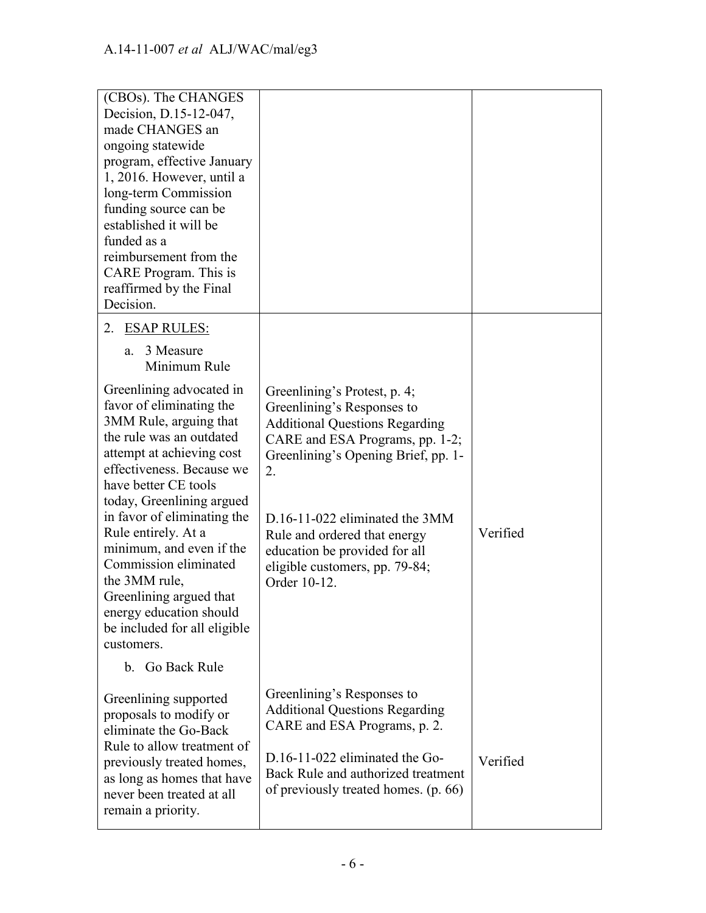| (CBOs). The CHANGES<br>Decision, D.15-12-047,<br>made CHANGES an<br>ongoing statewide<br>program, effective January<br>1, 2016. However, until a<br>long-term Commission<br>funding source can be<br>established it will be<br>funded as a<br>reimbursement from the<br>CARE Program. This is<br>reaffirmed by the Final<br>Decision. |                                                                                                                                                                                                                     |          |
|---------------------------------------------------------------------------------------------------------------------------------------------------------------------------------------------------------------------------------------------------------------------------------------------------------------------------------------|---------------------------------------------------------------------------------------------------------------------------------------------------------------------------------------------------------------------|----------|
| <b>ESAP RULES:</b><br>2.                                                                                                                                                                                                                                                                                                              |                                                                                                                                                                                                                     |          |
| 3 Measure<br>a.<br>Minimum Rule<br>Greenlining advocated in                                                                                                                                                                                                                                                                           |                                                                                                                                                                                                                     |          |
| favor of eliminating the<br>3MM Rule, arguing that<br>the rule was an outdated<br>attempt at achieving cost<br>effectiveness. Because we<br>have better CE tools                                                                                                                                                                      | Greenlining's Protest, p. 4;<br>Greenlining's Responses to<br><b>Additional Questions Regarding</b><br>CARE and ESA Programs, pp. 1-2;<br>Greenlining's Opening Brief, pp. 1-<br>2.                                 |          |
| today, Greenlining argued<br>in favor of eliminating the<br>Rule entirely. At a<br>minimum, and even if the<br>Commission eliminated<br>the 3MM rule,<br>Greenlining argued that<br>energy education should<br>be included for all eligible<br>customers.                                                                             | D.16-11-022 eliminated the 3MM<br>Rule and ordered that energy<br>education be provided for all<br>eligible customers, pp. 79-84;<br>Order 10-12.                                                                   | Verified |
| b. Go Back Rule                                                                                                                                                                                                                                                                                                                       |                                                                                                                                                                                                                     |          |
| Greenlining supported<br>proposals to modify or<br>eliminate the Go-Back<br>Rule to allow treatment of<br>previously treated homes,<br>as long as homes that have<br>never been treated at all<br>remain a priority.                                                                                                                  | Greenlining's Responses to<br><b>Additional Questions Regarding</b><br>CARE and ESA Programs, p. 2.<br>D.16-11-022 eliminated the Go-<br>Back Rule and authorized treatment<br>of previously treated homes. (p. 66) | Verified |
|                                                                                                                                                                                                                                                                                                                                       |                                                                                                                                                                                                                     |          |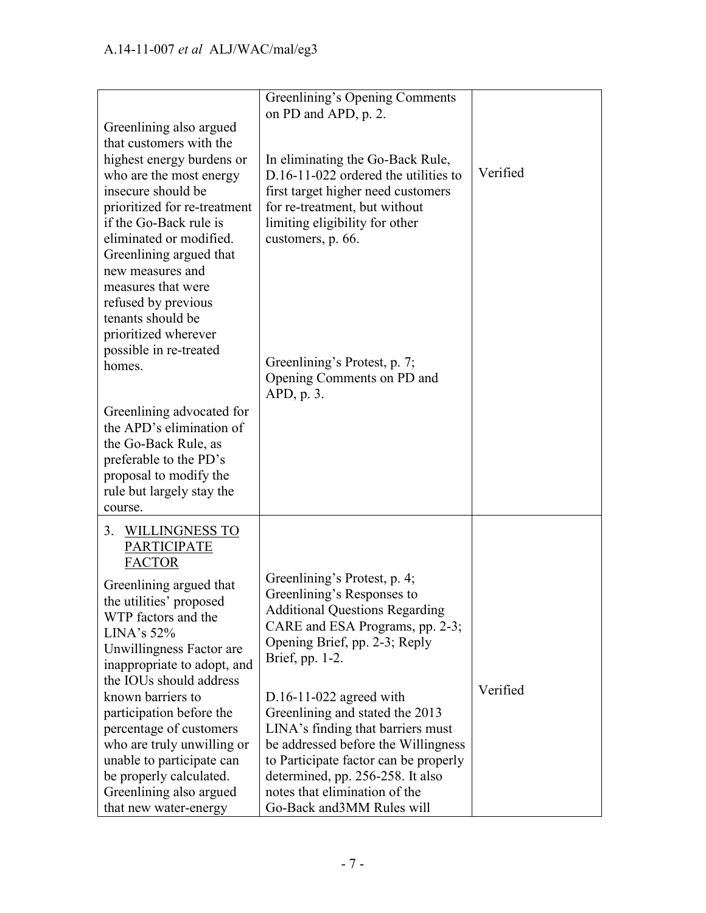|                                                                                                                                                                                                                    | Greenlining's Opening Comments<br>on PD and APD, p. 2.                                                                                                                                                                                                                               |          |
|--------------------------------------------------------------------------------------------------------------------------------------------------------------------------------------------------------------------|--------------------------------------------------------------------------------------------------------------------------------------------------------------------------------------------------------------------------------------------------------------------------------------|----------|
| Greenlining also argued<br>that customers with the                                                                                                                                                                 |                                                                                                                                                                                                                                                                                      |          |
| highest energy burdens or<br>who are the most energy<br>insecure should be<br>prioritized for re-treatment<br>if the Go-Back rule is<br>eliminated or modified.<br>Greenlining argued that<br>new measures and     | In eliminating the Go-Back Rule,<br>$D.16-11-022$ ordered the utilities to<br>first target higher need customers<br>for re-treatment, but without<br>limiting eligibility for other<br>customers, p. 66.                                                                             | Verified |
| measures that were<br>refused by previous<br>tenants should be<br>prioritized wherever<br>possible in re-treated<br>homes.                                                                                         | Greenlining's Protest, p. 7;<br>Opening Comments on PD and<br>APD, p. 3.                                                                                                                                                                                                             |          |
| Greenlining advocated for<br>the APD's elimination of<br>the Go-Back Rule, as<br>preferable to the PD's<br>proposal to modify the<br>rule but largely stay the<br>course.                                          |                                                                                                                                                                                                                                                                                      |          |
| <b>WILLINGNESS TO</b><br>3.<br><b>PARTICIPATE</b><br><b>FACTOR</b>                                                                                                                                                 |                                                                                                                                                                                                                                                                                      |          |
| Greenlining argued that<br>the utilities' proposed<br>WTP factors and the<br>LINA's 52%<br>Unwillingness Factor are<br>inappropriate to adopt, and<br>the IOUs should address                                      | Greenlining's Protest, p. 4;<br>Greenlining's Responses to<br><b>Additional Questions Regarding</b><br>CARE and ESA Programs, pp. 2-3;<br>Opening Brief, pp. 2-3; Reply<br>Brief, pp. 1-2.                                                                                           |          |
| known barriers to<br>participation before the<br>percentage of customers<br>who are truly unwilling or<br>unable to participate can<br>be properly calculated.<br>Greenlining also argued<br>that new water-energy | $D.16-11-022$ agreed with<br>Greenlining and stated the 2013<br>LINA's finding that barriers must<br>be addressed before the Willingness<br>to Participate factor can be properly<br>determined, pp. 256-258. It also<br>notes that elimination of the<br>Go-Back and 3MM Rules will | Verified |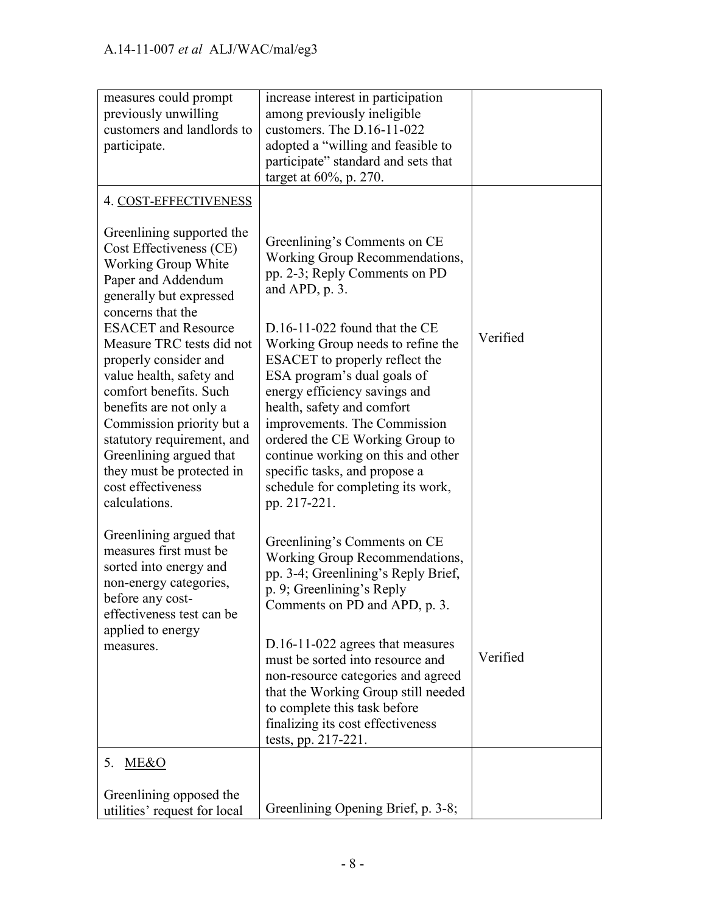| measures could prompt<br>previously unwilling<br>customers and landlords to<br>participate.                                                                                                                                                                                                                                                                                                                                                                                                               | increase interest in participation<br>among previously ineligible<br>customers. The D.16-11-022<br>adopted a "willing and feasible to<br>participate" standard and sets that<br>target at 60%, p. 270.                                                                                                                                                                                                                                                                                                                   |          |
|-----------------------------------------------------------------------------------------------------------------------------------------------------------------------------------------------------------------------------------------------------------------------------------------------------------------------------------------------------------------------------------------------------------------------------------------------------------------------------------------------------------|--------------------------------------------------------------------------------------------------------------------------------------------------------------------------------------------------------------------------------------------------------------------------------------------------------------------------------------------------------------------------------------------------------------------------------------------------------------------------------------------------------------------------|----------|
| 4. COST-EFFECTIVENESS<br>Greenlining supported the<br>Cost Effectiveness (CE)<br>Working Group White<br>Paper and Addendum<br>generally but expressed<br>concerns that the<br><b>ESACET</b> and Resource<br>Measure TRC tests did not<br>properly consider and<br>value health, safety and<br>comfort benefits. Such<br>benefits are not only a<br>Commission priority but a<br>statutory requirement, and<br>Greenlining argued that<br>they must be protected in<br>cost effectiveness<br>calculations. | Greenlining's Comments on CE<br>Working Group Recommendations,<br>pp. 2-3; Reply Comments on PD<br>and APD, p. 3.<br>$D.16-11-022$ found that the CE<br>Working Group needs to refine the<br>ESACET to properly reflect the<br>ESA program's dual goals of<br>energy efficiency savings and<br>health, safety and comfort<br>improvements. The Commission<br>ordered the CE Working Group to<br>continue working on this and other<br>specific tasks, and propose a<br>schedule for completing its work,<br>pp. 217-221. | Verified |
| Greenlining argued that<br>measures first must be<br>sorted into energy and<br>non-energy categories,<br>before any cost-<br>effectiveness test can be<br>applied to energy<br>measures.                                                                                                                                                                                                                                                                                                                  | Greenlining's Comments on CE<br>Working Group Recommendations,<br>pp. 3-4; Greenlining's Reply Brief,<br>p. 9; Greenlining's Reply<br>Comments on PD and APD, p. 3.<br>D.16-11-022 agrees that measures<br>must be sorted into resource and<br>non-resource categories and agreed<br>that the Working Group still needed<br>to complete this task before<br>finalizing its cost effectiveness<br>tests, pp. 217-221.                                                                                                     | Verified |
| ME&O<br>5.                                                                                                                                                                                                                                                                                                                                                                                                                                                                                                |                                                                                                                                                                                                                                                                                                                                                                                                                                                                                                                          |          |
| Greenlining opposed the<br>utilities' request for local                                                                                                                                                                                                                                                                                                                                                                                                                                                   | Greenlining Opening Brief, p. 3-8;                                                                                                                                                                                                                                                                                                                                                                                                                                                                                       |          |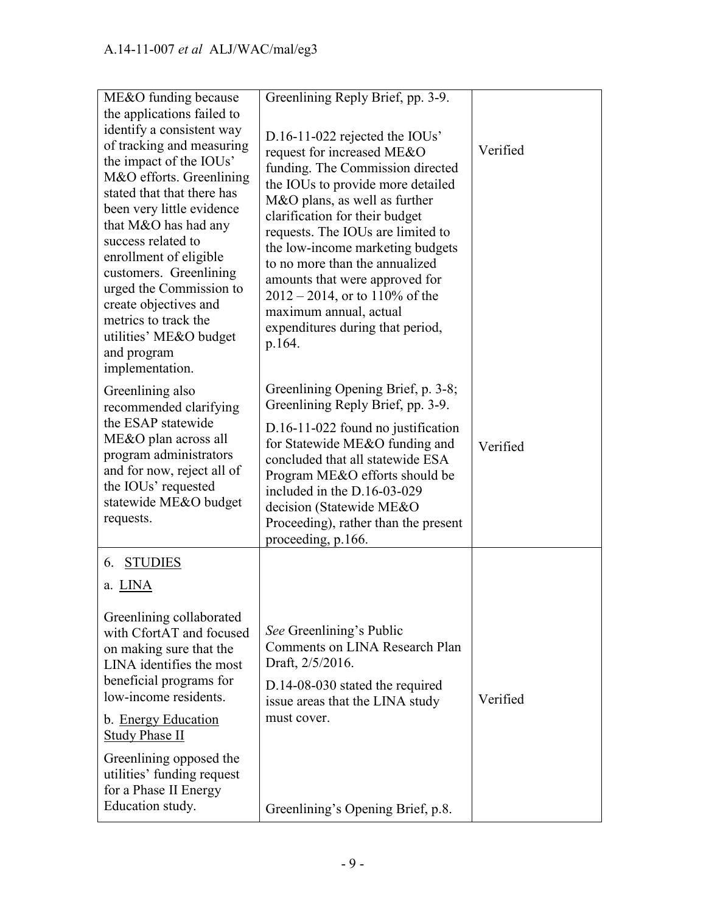| ME&O funding because<br>the applications failed to<br>identify a consistent way<br>of tracking and measuring<br>the impact of the IOUs'<br>M&O efforts. Greenlining<br>stated that that there has<br>been very little evidence<br>that M&O has had any<br>success related to<br>enrollment of eligible<br>customers. Greenlining<br>urged the Commission to<br>create objectives and<br>metrics to track the<br>utilities' ME&O budget<br>and program<br>implementation. | Greenlining Reply Brief, pp. 3-9.<br>$D.16-11-022$ rejected the IOUs'<br>request for increased ME&O<br>funding. The Commission directed<br>the IOUs to provide more detailed<br>M&O plans, as well as further<br>clarification for their budget<br>requests. The IOUs are limited to<br>the low-income marketing budgets<br>to no more than the annualized<br>amounts that were approved for<br>$2012 - 2014$ , or to 110% of the<br>maximum annual, actual<br>expenditures during that period,<br>p.164. | Verified |
|--------------------------------------------------------------------------------------------------------------------------------------------------------------------------------------------------------------------------------------------------------------------------------------------------------------------------------------------------------------------------------------------------------------------------------------------------------------------------|-----------------------------------------------------------------------------------------------------------------------------------------------------------------------------------------------------------------------------------------------------------------------------------------------------------------------------------------------------------------------------------------------------------------------------------------------------------------------------------------------------------|----------|
| Greenlining also<br>recommended clarifying<br>the ESAP statewide<br>ME&O plan across all<br>program administrators<br>and for now, reject all of<br>the IOUs' requested<br>statewide ME&O budget<br>requests.                                                                                                                                                                                                                                                            | Greenlining Opening Brief, p. 3-8;<br>Greenlining Reply Brief, pp. 3-9.<br>D.16-11-022 found no justification<br>for Statewide ME&O funding and<br>concluded that all statewide ESA<br>Program ME&O efforts should be<br>included in the D.16-03-029<br>decision (Statewide ME&O<br>Proceeding), rather than the present<br>proceeding, p.166.                                                                                                                                                            | Verified |
| <b>STUDIES</b><br>6.<br>a. LINA                                                                                                                                                                                                                                                                                                                                                                                                                                          |                                                                                                                                                                                                                                                                                                                                                                                                                                                                                                           |          |
| Greenlining collaborated<br>with CfortAT and focused<br>on making sure that the<br>LINA identifies the most<br>beneficial programs for<br>low-income residents.<br>b. Energy Education<br><b>Study Phase II</b>                                                                                                                                                                                                                                                          | See Greenlining's Public<br>Comments on LINA Research Plan<br>Draft, $2/5/2016$ .<br>D.14-08-030 stated the required<br>issue areas that the LINA study<br>must cover.                                                                                                                                                                                                                                                                                                                                    | Verified |
| Greenlining opposed the<br>utilities' funding request<br>for a Phase II Energy<br>Education study.                                                                                                                                                                                                                                                                                                                                                                       | Greenlining's Opening Brief, p.8.                                                                                                                                                                                                                                                                                                                                                                                                                                                                         |          |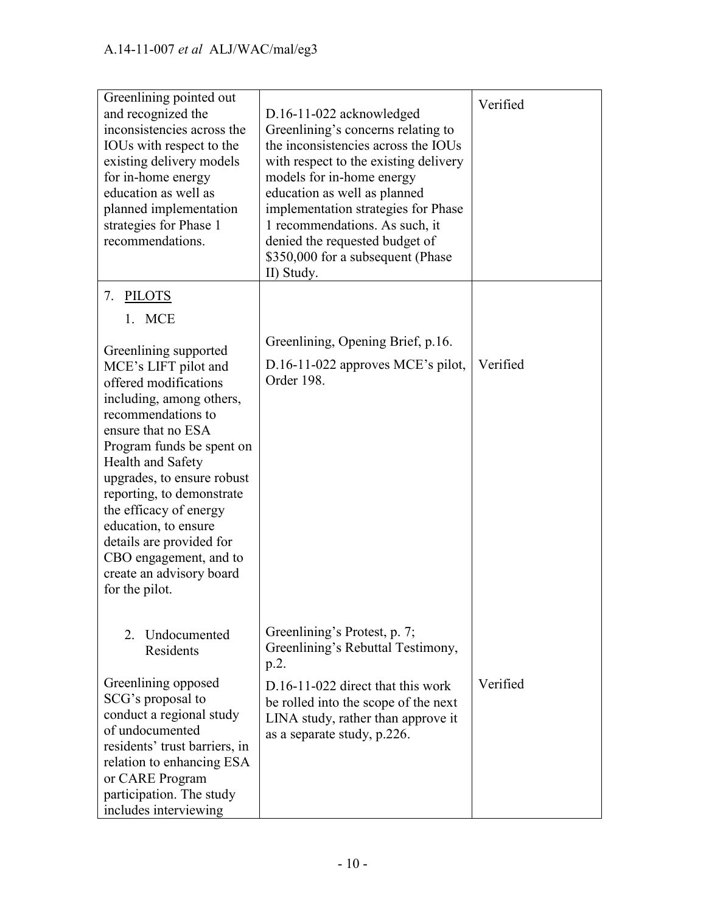| Greenlining pointed out<br>and recognized the<br>inconsistencies across the<br>IOUs with respect to the<br>existing delivery models<br>for in-home energy<br>education as well as<br>planned implementation<br>strategies for Phase 1<br>recommendations.                                                                                                                                                                | D.16-11-022 acknowledged<br>Greenlining's concerns relating to<br>the inconsistencies across the IOUs<br>with respect to the existing delivery<br>models for in-home energy<br>education as well as planned<br>implementation strategies for Phase<br>1 recommendations. As such, it<br>denied the requested budget of<br>\$350,000 for a subsequent (Phase<br>II) Study. | Verified |
|--------------------------------------------------------------------------------------------------------------------------------------------------------------------------------------------------------------------------------------------------------------------------------------------------------------------------------------------------------------------------------------------------------------------------|---------------------------------------------------------------------------------------------------------------------------------------------------------------------------------------------------------------------------------------------------------------------------------------------------------------------------------------------------------------------------|----------|
| <b>PILOTS</b><br>7.<br>1. MCE                                                                                                                                                                                                                                                                                                                                                                                            |                                                                                                                                                                                                                                                                                                                                                                           |          |
| Greenlining supported<br>MCE's LIFT pilot and<br>offered modifications<br>including, among others,<br>recommendations to<br>ensure that no ESA<br>Program funds be spent on<br><b>Health and Safety</b><br>upgrades, to ensure robust<br>reporting, to demonstrate<br>the efficacy of energy<br>education, to ensure<br>details are provided for<br>CBO engagement, and to<br>create an advisory board<br>for the pilot. | Greenlining, Opening Brief, p.16.<br>$D.16-11-022$ approves MCE's pilot,<br>Order 198.                                                                                                                                                                                                                                                                                    | Verified |
| Undocumented<br>2<br>Residents                                                                                                                                                                                                                                                                                                                                                                                           | Greenlining's Protest, p. 7;<br>Greenlining's Rebuttal Testimony,<br>$p.2$ .                                                                                                                                                                                                                                                                                              |          |
| Greenlining opposed<br>SCG's proposal to<br>conduct a regional study<br>of undocumented<br>residents' trust barriers, in<br>relation to enhancing ESA<br>or CARE Program<br>participation. The study<br>includes interviewing                                                                                                                                                                                            | $D.16-11-022$ direct that this work<br>be rolled into the scope of the next<br>LINA study, rather than approve it<br>as a separate study, p.226.                                                                                                                                                                                                                          | Verified |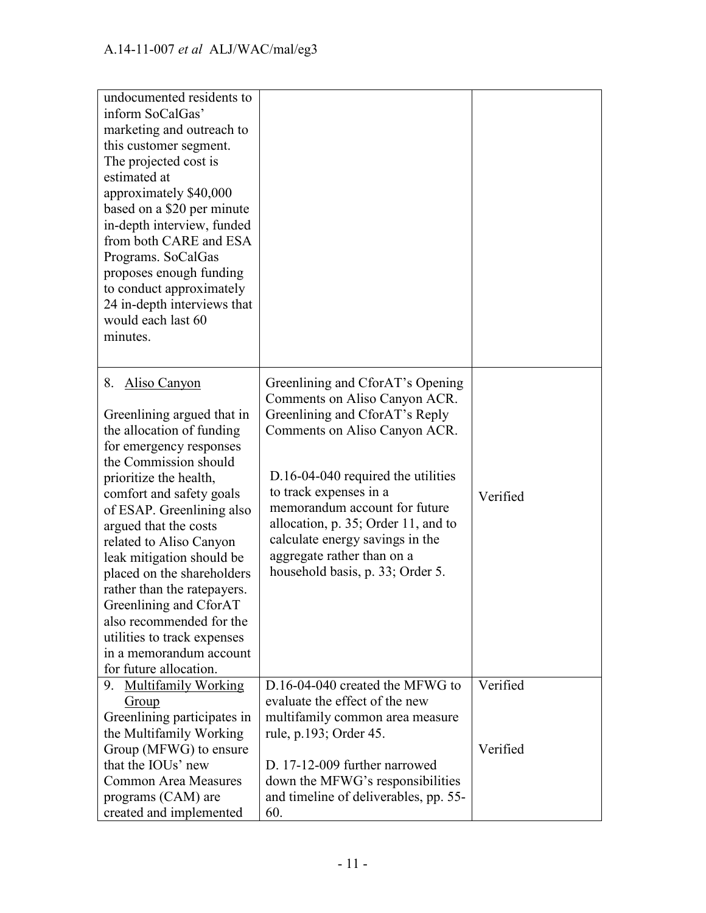| undocumented residents to<br>inform SoCalGas'<br>marketing and outreach to<br>this customer segment.<br>The projected cost is<br>estimated at<br>approximately \$40,000<br>based on a \$20 per minute<br>in-depth interview, funded<br>from both CARE and ESA<br>Programs. SoCalGas<br>proposes enough funding<br>to conduct approximately<br>24 in-depth interviews that<br>would each last 60<br>minutes.                                                                                                  |                                                                                                                                                                                                                                                                                                                                                                                     |                      |
|--------------------------------------------------------------------------------------------------------------------------------------------------------------------------------------------------------------------------------------------------------------------------------------------------------------------------------------------------------------------------------------------------------------------------------------------------------------------------------------------------------------|-------------------------------------------------------------------------------------------------------------------------------------------------------------------------------------------------------------------------------------------------------------------------------------------------------------------------------------------------------------------------------------|----------------------|
| 8.<br>Aliso Canyon<br>Greenlining argued that in<br>the allocation of funding<br>for emergency responses<br>the Commission should<br>prioritize the health,<br>comfort and safety goals<br>of ESAP. Greenlining also<br>argued that the costs<br>related to Aliso Canyon<br>leak mitigation should be<br>placed on the shareholders<br>rather than the ratepayers.<br>Greenlining and CforAT<br>also recommended for the<br>utilities to track expenses<br>in a memorandum account<br>for future allocation. | Greenlining and CforAT's Opening<br>Comments on Aliso Canyon ACR.<br>Greenlining and CforAT's Reply<br>Comments on Aliso Canyon ACR.<br>$D.16-04-040$ required the utilities<br>to track expenses in a<br>memorandum account for future<br>allocation, p. 35; Order 11, and to<br>calculate energy savings in the<br>aggregate rather than on a<br>household basis, p. 33; Order 5. | Verified             |
| 9. Multifamily Working<br>Group<br>Greenlining participates in<br>the Multifamily Working<br>Group (MFWG) to ensure<br>that the IOUs' new<br><b>Common Area Measures</b><br>programs (CAM) are<br>created and implemented                                                                                                                                                                                                                                                                                    | D.16-04-040 created the MFWG to<br>evaluate the effect of the new<br>multifamily common area measure<br>rule, p.193; Order 45.<br>D. 17-12-009 further narrowed<br>down the MFWG's responsibilities<br>and timeline of deliverables, pp. 55-<br>60.                                                                                                                                 | Verified<br>Verified |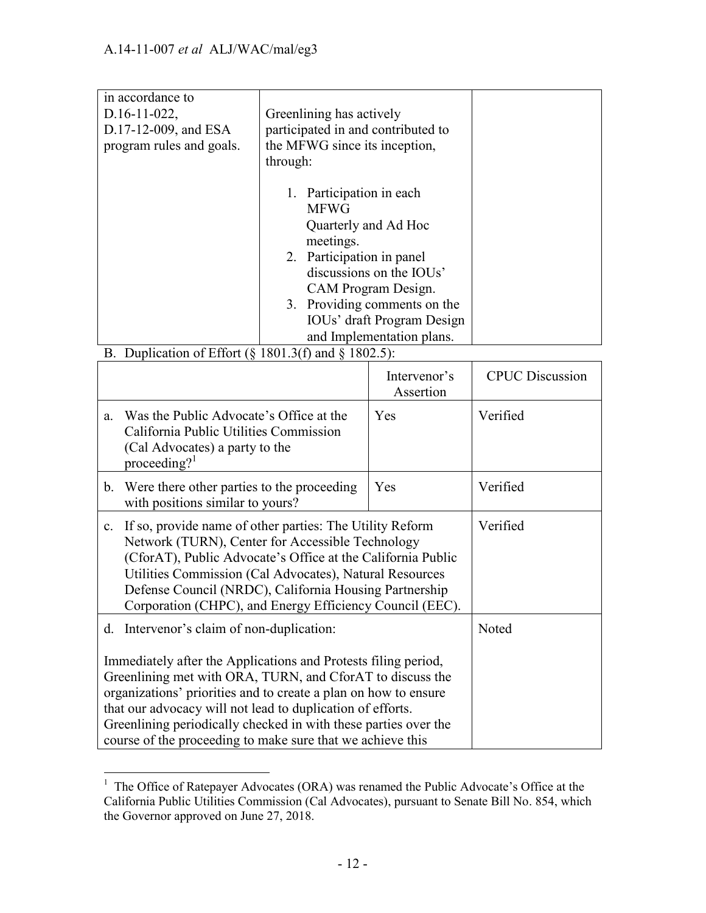| in accordance to<br>$D.16-11-022$ ,<br>D.17-12-009, and ESA<br>program rules and goals. | Greenlining has actively<br>participated in and contributed to<br>the MFWG since its inception,<br>through:                                                                                                                                                 |  |
|-----------------------------------------------------------------------------------------|-------------------------------------------------------------------------------------------------------------------------------------------------------------------------------------------------------------------------------------------------------------|--|
|                                                                                         | Participation in each<br><b>MFWG</b><br>Quarterly and Ad Hoc<br>meetings.<br>2. Participation in panel<br>discussions on the IOUs'<br>CAM Program Design.<br>3. Providing comments on the<br><b>IOUs' draft Program Design</b><br>and Implementation plans. |  |

### B. Duplication of Effort (§ 1801.3(f) and § 1802.5):

 $\overline{a}$ 

|                                                                                                                                                                                                                                                                                                                                                                             |                                                                                                                                                                                                                                                                                                                                                                                               | Intervenor's<br>Assertion | <b>CPUC</b> Discussion |
|-----------------------------------------------------------------------------------------------------------------------------------------------------------------------------------------------------------------------------------------------------------------------------------------------------------------------------------------------------------------------------|-----------------------------------------------------------------------------------------------------------------------------------------------------------------------------------------------------------------------------------------------------------------------------------------------------------------------------------------------------------------------------------------------|---------------------------|------------------------|
| a.                                                                                                                                                                                                                                                                                                                                                                          | Was the Public Advocate's Office at the<br>California Public Utilities Commission<br>(Cal Advocates) a party to the<br>proceeding? $1$                                                                                                                                                                                                                                                        | Yes                       | Verified               |
|                                                                                                                                                                                                                                                                                                                                                                             | b. Were there other parties to the proceeding<br>with positions similar to yours?                                                                                                                                                                                                                                                                                                             | Yes                       | Verified               |
| If so, provide name of other parties: The Utility Reform<br>$c_{\cdot}$<br>Network (TURN), Center for Accessible Technology<br>(CforAT), Public Advocate's Office at the California Public<br>Utilities Commission (Cal Advocates), Natural Resources<br>Defense Council (NRDC), California Housing Partnership<br>Corporation (CHPC), and Energy Efficiency Council (EEC). |                                                                                                                                                                                                                                                                                                                                                                                               |                           | Verified               |
|                                                                                                                                                                                                                                                                                                                                                                             | d. Intervenor's claim of non-duplication:                                                                                                                                                                                                                                                                                                                                                     | Noted                     |                        |
|                                                                                                                                                                                                                                                                                                                                                                             | Immediately after the Applications and Protests filing period,<br>Greenlining met with ORA, TURN, and CforAT to discuss the<br>organizations' priorities and to create a plan on how to ensure<br>that our advocacy will not lead to duplication of efforts.<br>Greenlining periodically checked in with these parties over the<br>course of the proceeding to make sure that we achieve this |                           |                        |

 $1$  The Office of Ratepayer Advocates (ORA) was renamed the Public Advocate's Office at the California Public Utilities Commission (Cal Advocates), pursuant to Senate Bill No. 854, which the Governor approved on June 27, 2018.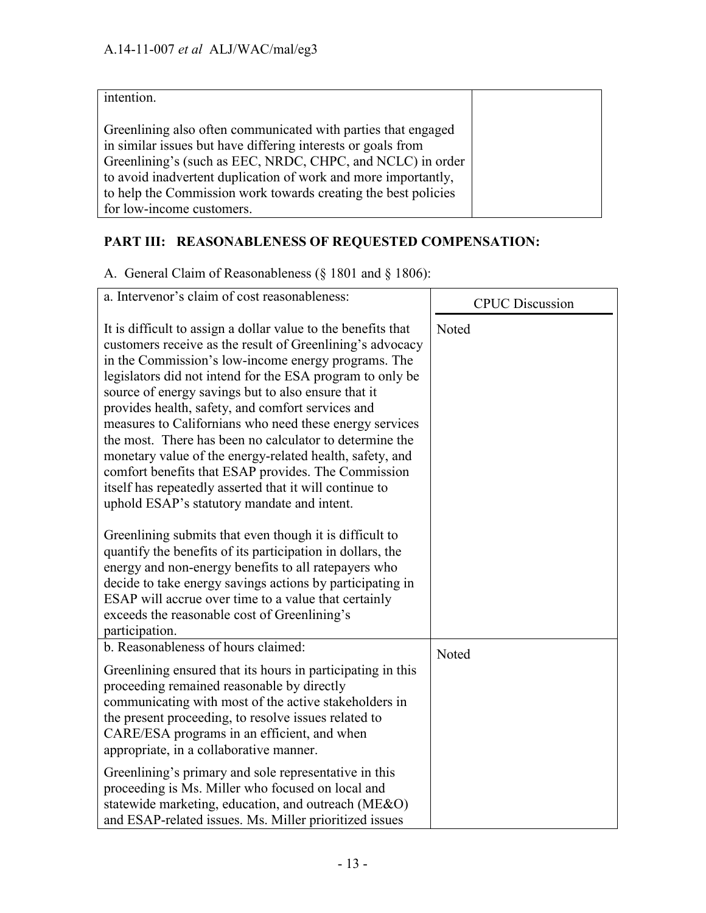| intention.                                                                                                                                                                                                                                                                                                                                                   |  |
|--------------------------------------------------------------------------------------------------------------------------------------------------------------------------------------------------------------------------------------------------------------------------------------------------------------------------------------------------------------|--|
| Greenlining also often communicated with parties that engaged<br>in similar issues but have differing interests or goals from<br>Greenlining's (such as EEC, NRDC, CHPC, and NCLC) in order<br>to avoid inadvertent duplication of work and more importantly,<br>to help the Commission work towards creating the best policies<br>for low-income customers. |  |

# **PART III: REASONABLENESS OF REQUESTED COMPENSATION:**

| A. General Claim of Reasonableness $(8\ 1801\ 1806\ 1800)$ :                                                                                                                                                                                                                                                                                                                                                                                                                                                                                                                                                                                                                                                  |                        |
|---------------------------------------------------------------------------------------------------------------------------------------------------------------------------------------------------------------------------------------------------------------------------------------------------------------------------------------------------------------------------------------------------------------------------------------------------------------------------------------------------------------------------------------------------------------------------------------------------------------------------------------------------------------------------------------------------------------|------------------------|
| a. Intervenor's claim of cost reasonableness:                                                                                                                                                                                                                                                                                                                                                                                                                                                                                                                                                                                                                                                                 | <b>CPUC</b> Discussion |
| It is difficult to assign a dollar value to the benefits that<br>customers receive as the result of Greenlining's advocacy<br>in the Commission's low-income energy programs. The<br>legislators did not intend for the ESA program to only be<br>source of energy savings but to also ensure that it<br>provides health, safety, and comfort services and<br>measures to Californians who need these energy services<br>the most. There has been no calculator to determine the<br>monetary value of the energy-related health, safety, and<br>comfort benefits that ESAP provides. The Commission<br>itself has repeatedly asserted that it will continue to<br>uphold ESAP's statutory mandate and intent. | Noted                  |
| Greenlining submits that even though it is difficult to<br>quantify the benefits of its participation in dollars, the<br>energy and non-energy benefits to all ratepayers who<br>decide to take energy savings actions by participating in<br>ESAP will accrue over time to a value that certainly<br>exceeds the reasonable cost of Greenlining's<br>participation.                                                                                                                                                                                                                                                                                                                                          |                        |
| b. Reasonableness of hours claimed:                                                                                                                                                                                                                                                                                                                                                                                                                                                                                                                                                                                                                                                                           | Noted                  |
| Greenlining ensured that its hours in participating in this<br>proceeding remained reasonable by directly<br>communicating with most of the active stakeholders in<br>the present proceeding, to resolve issues related to<br>CARE/ESA programs in an efficient, and when<br>appropriate, in a collaborative manner.                                                                                                                                                                                                                                                                                                                                                                                          |                        |
| Greenlining's primary and sole representative in this<br>proceeding is Ms. Miller who focused on local and<br>statewide marketing, education, and outreach (ME&O)<br>and ESAP-related issues. Ms. Miller prioritized issues                                                                                                                                                                                                                                                                                                                                                                                                                                                                                   |                        |

A. General Claim of Reasonableness (§ 1801 and § 1806):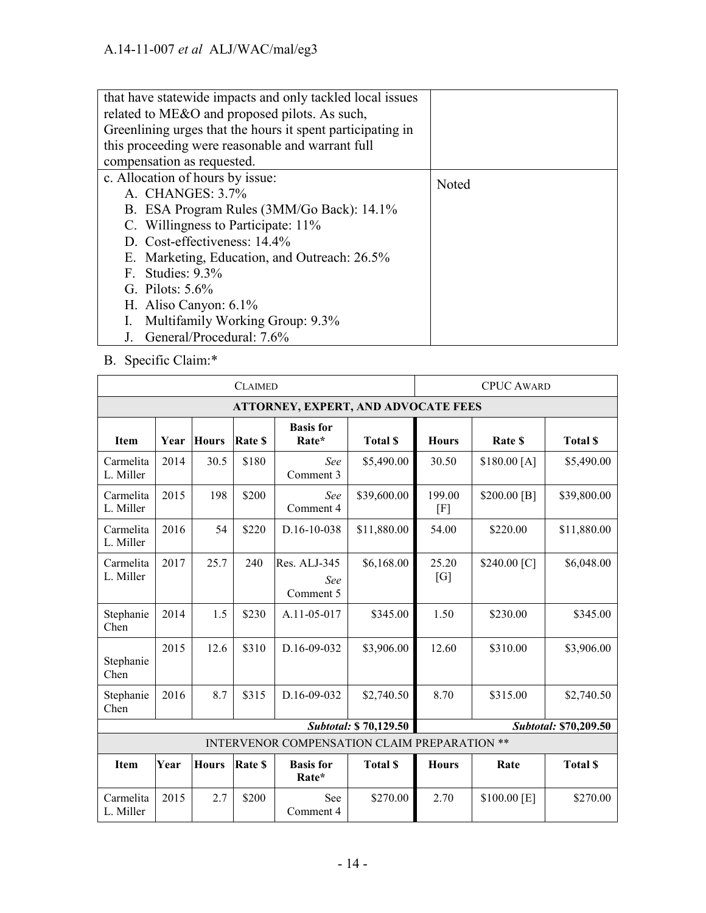| that have statewide impacts and only tackled local issues<br>related to ME&O and proposed pilots. As such,<br>Greenlining urges that the hours it spent participating in<br>this proceeding were reasonable and warrant full                                                                     |       |  |  |
|--------------------------------------------------------------------------------------------------------------------------------------------------------------------------------------------------------------------------------------------------------------------------------------------------|-------|--|--|
| compensation as requested.                                                                                                                                                                                                                                                                       |       |  |  |
| c. Allocation of hours by issue:<br>A. CHANGES: 3.7%<br>B. ESA Program Rules (3MM/Go Back): 14.1%<br>C. Willingness to Participate: 11%<br>D. Cost-effectiveness: 14.4%<br>E. Marketing, Education, and Outreach: 26.5%<br>F. Studies: $9.3\%$<br>G. Pilots: $5.6\%$<br>H. Aliso Canyon: $6.1\%$ | Noted |  |  |
| Multifamily Working Group: 9.3%<br>I.                                                                                                                                                                                                                                                            |       |  |  |
| General/Procedural: 7.6%                                                                                                                                                                                                                                                                         |       |  |  |

B. Specific Claim:\*

| <b>CLAIMED</b>         |                                     |              |                |                                              |                | <b>CPUC AWARD</b>     |              |                       |
|------------------------|-------------------------------------|--------------|----------------|----------------------------------------------|----------------|-----------------------|--------------|-----------------------|
|                        | ATTORNEY, EXPERT, AND ADVOCATE FEES |              |                |                                              |                |                       |              |                       |
| <b>Item</b>            | Year                                | <b>Hours</b> | <b>Rate \$</b> | <b>Basis</b> for<br>Rate*                    | <b>Total S</b> | <b>Hours</b>          | Rate \$      | <b>Total \$</b>       |
| Carmelita<br>L. Miller | 2014                                | 30.5         | \$180          | See<br>Comment 3                             | \$5,490.00     | 30.50                 | \$180.00 [A] | \$5,490.00            |
| Carmelita<br>L. Miller | 2015                                | 198          | \$200          | See<br>Comment 4                             | \$39,600.00    | 199.00<br>$[{\rm F}]$ | \$200.00 [B] | \$39,800.00           |
| Carmelita<br>L. Miller | 2016                                | 54           | \$220          | D.16-10-038                                  | \$11,880.00    | 54.00                 | \$220.00     | \$11,880.00           |
| Carmelita<br>L. Miller | 2017                                | 25.7         | 240            | Res. ALJ-345<br>See<br>Comment 5             | \$6,168.00     | 25.20<br>[G]          | \$240.00 [C] | \$6,048.00            |
| Stephanie<br>Chen      | 2014                                | 1.5          | \$230          | A.11-05-017                                  | \$345.00       | 1.50                  | \$230.00     | \$345.00              |
| Stephanie<br>Chen      | 2015                                | 12.6         | \$310          | D.16-09-032                                  | \$3,906.00     | 12.60                 | \$310.00     | \$3,906.00            |
| Stephanie<br>Chen      | 2016                                | 8.7          | \$315          | D.16-09-032                                  | \$2,740.50     | 8.70                  | \$315.00     | \$2,740.50            |
|                        | <b>Subtotal: \$70,129.50</b>        |              |                |                                              |                |                       |              | Subtotal: \$70,209.50 |
|                        |                                     |              |                | INTERVENOR COMPENSATION CLAIM PREPARATION ** |                |                       |              |                       |
| <b>Item</b>            | Year                                | <b>Hours</b> | Rate \$        | <b>Basis</b> for<br>Rate*                    | <b>Total S</b> | <b>Hours</b>          | Rate         | <b>Total S</b>        |
| Carmelita<br>L. Miller | 2015                                | 2.7          | \$200          | See<br>Comment 4                             | \$270.00       | 2.70                  | \$100.00 [E] | \$270.00              |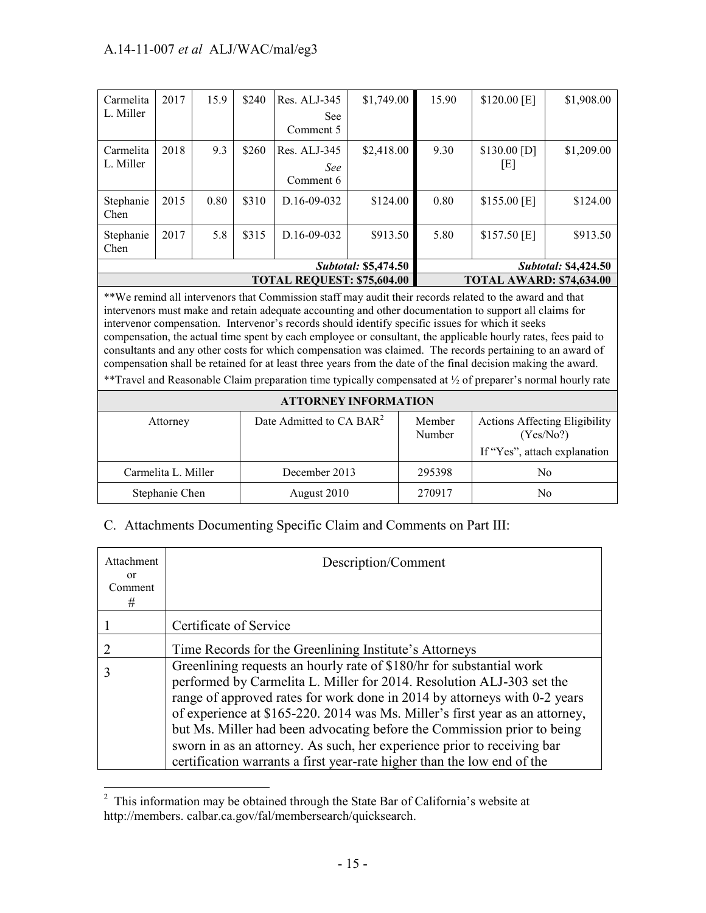| Carmelita<br>L. Miller                                                                                                                                                                                                                                                                                                                                                                                                                                                                                                                                                                                                                                                                                                                                                                         | 2017                                                       | 15.9 | \$240 | Res. ALJ-345<br>See<br>Comment 5     | \$1,749.00 | 15.90            | $$120.00$ [E]                 | \$1,908.00                                        |
|------------------------------------------------------------------------------------------------------------------------------------------------------------------------------------------------------------------------------------------------------------------------------------------------------------------------------------------------------------------------------------------------------------------------------------------------------------------------------------------------------------------------------------------------------------------------------------------------------------------------------------------------------------------------------------------------------------------------------------------------------------------------------------------------|------------------------------------------------------------|------|-------|--------------------------------------|------------|------------------|-------------------------------|---------------------------------------------------|
| Carmelita<br>L. Miller                                                                                                                                                                                                                                                                                                                                                                                                                                                                                                                                                                                                                                                                                                                                                                         | 2018                                                       | 9.3  | \$260 | Res. ALJ-345<br>See<br>Comment 6     | \$2,418.00 | 9.30             | $$130.00$ [D]<br>[E]          | \$1,209.00                                        |
| Stephanie<br>Chen                                                                                                                                                                                                                                                                                                                                                                                                                                                                                                                                                                                                                                                                                                                                                                              | 2015                                                       | 0.80 | \$310 | D.16-09-032                          | \$124.00   | 0.80             | $$155.00$ [E]                 | \$124.00                                          |
| Stephanie<br>Chen                                                                                                                                                                                                                                                                                                                                                                                                                                                                                                                                                                                                                                                                                                                                                                              | 2017                                                       | 5.8  | \$315 | D.16-09-032                          | \$913.50   | 5.80             | $$157.50$ [E]                 | \$913.50                                          |
|                                                                                                                                                                                                                                                                                                                                                                                                                                                                                                                                                                                                                                                                                                                                                                                                | <b>Subtotal: \$5,474.50</b><br><b>Subtotal: \$4,424.50</b> |      |       |                                      |            |                  |                               |                                                   |
| <b>TOTAL REQUEST: \$75,604.00</b><br><b>TOTAL AWARD: \$74,634.00</b>                                                                                                                                                                                                                                                                                                                                                                                                                                                                                                                                                                                                                                                                                                                           |                                                            |      |       |                                      |            |                  |                               |                                                   |
| **We remind all intervenors that Commission staff may audit their records related to the award and that<br>intervenors must make and retain adequate accounting and other documentation to support all claims for<br>intervenor compensation. Intervenor's records should identify specific issues for which it seeks<br>compensation, the actual time spent by each employee or consultant, the applicable hourly rates, fees paid to<br>consultants and any other costs for which compensation was claimed. The records pertaining to an award of<br>compensation shall be retained for at least three years from the date of the final decision making the award.<br>**Travel and Reasonable Claim preparation time typically compensated at $\frac{1}{2}$ of preparer's normal hourly rate |                                                            |      |       |                                      |            |                  |                               |                                                   |
|                                                                                                                                                                                                                                                                                                                                                                                                                                                                                                                                                                                                                                                                                                                                                                                                |                                                            |      |       | <b>ATTORNEY INFORMATION</b>          |            |                  |                               |                                                   |
|                                                                                                                                                                                                                                                                                                                                                                                                                                                                                                                                                                                                                                                                                                                                                                                                | Attorney                                                   |      |       | Date Admitted to CA BAR <sup>2</sup> |            | Member<br>Number | $\mathbf{r} \cdot \mathbf{r}$ | <b>Actions Affecting Eligibility</b><br>(Yes/No?) |

|                     |               |        | , 1 0 0 1 1 0 . 1            |
|---------------------|---------------|--------|------------------------------|
|                     |               |        | If "Yes", attach explanation |
| Carmelita L. Miller | December 2013 | 295398 | No                           |
| Stephanie Chen      | August 2010   | 270917 | No                           |

## C. Attachments Documenting Specific Claim and Comments on Part III:

| Attachment<br><sub>or</sub><br>Comment<br># | Description/Comment                                                                                                                                                                                                                                                                                                                                                                                                                                                                                                                         |
|---------------------------------------------|---------------------------------------------------------------------------------------------------------------------------------------------------------------------------------------------------------------------------------------------------------------------------------------------------------------------------------------------------------------------------------------------------------------------------------------------------------------------------------------------------------------------------------------------|
|                                             | Certificate of Service                                                                                                                                                                                                                                                                                                                                                                                                                                                                                                                      |
|                                             | Time Records for the Greenlining Institute's Attorneys                                                                                                                                                                                                                                                                                                                                                                                                                                                                                      |
|                                             | Greenlining requests an hourly rate of \$180/hr for substantial work<br>performed by Carmelita L. Miller for 2014. Resolution ALJ-303 set the<br>range of approved rates for work done in 2014 by attorneys with 0-2 years<br>of experience at \$165-220. 2014 was Ms. Miller's first year as an attorney,<br>but Ms. Miller had been advocating before the Commission prior to being<br>sworn in as an attorney. As such, her experience prior to receiving bar<br>certification warrants a first year-rate higher than the low end of the |

 $2$  This information may be obtained through the State Bar of California's website at http://members. calbar.ca.gov/fal/membersearch/quicksearch.

 $\overline{a}$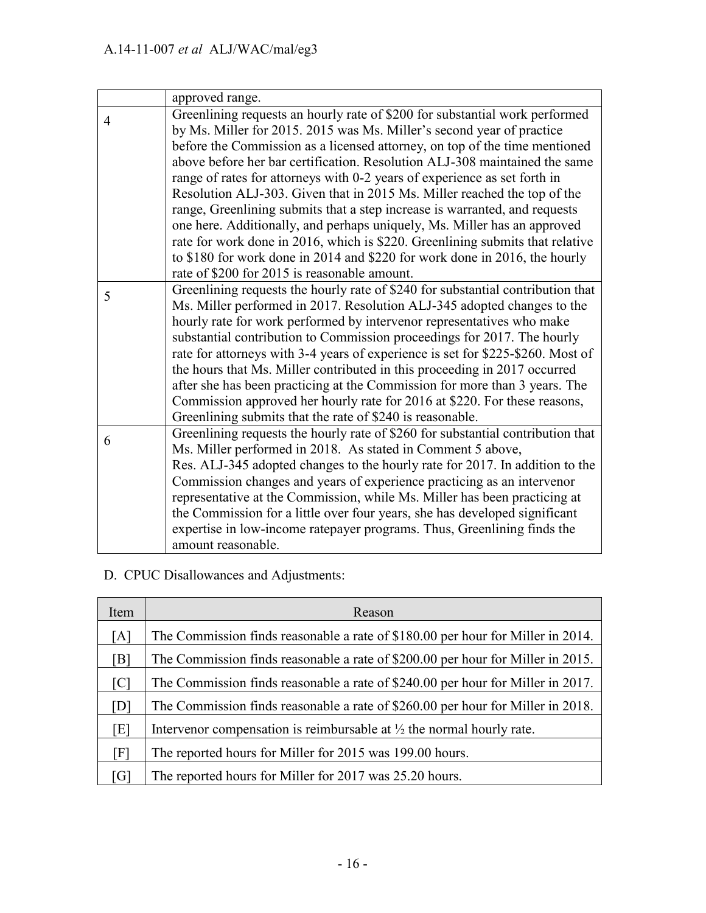|   | approved range.                                                                                                                                              |
|---|--------------------------------------------------------------------------------------------------------------------------------------------------------------|
| 4 | Greenlining requests an hourly rate of \$200 for substantial work performed<br>by Ms. Miller for 2015. 2015 was Ms. Miller's second year of practice         |
|   | before the Commission as a licensed attorney, on top of the time mentioned                                                                                   |
|   | above before her bar certification. Resolution ALJ-308 maintained the same                                                                                   |
|   | range of rates for attorneys with 0-2 years of experience as set forth in                                                                                    |
|   | Resolution ALJ-303. Given that in 2015 Ms. Miller reached the top of the<br>range, Greenlining submits that a step increase is warranted, and requests       |
|   | one here. Additionally, and perhaps uniquely, Ms. Miller has an approved                                                                                     |
|   | rate for work done in 2016, which is \$220. Greenlining submits that relative                                                                                |
|   | to \$180 for work done in 2014 and \$220 for work done in 2016, the hourly                                                                                   |
|   | rate of \$200 for 2015 is reasonable amount.                                                                                                                 |
| 5 | Greenlining requests the hourly rate of \$240 for substantial contribution that                                                                              |
|   | Ms. Miller performed in 2017. Resolution ALJ-345 adopted changes to the                                                                                      |
|   | hourly rate for work performed by intervenor representatives who make                                                                                        |
|   | substantial contribution to Commission proceedings for 2017. The hourly                                                                                      |
|   | rate for attorneys with 3-4 years of experience is set for \$225-\$260. Most of<br>the hours that Ms. Miller contributed in this proceeding in 2017 occurred |
|   | after she has been practicing at the Commission for more than 3 years. The                                                                                   |
|   | Commission approved her hourly rate for 2016 at \$220. For these reasons,                                                                                    |
|   | Greenlining submits that the rate of \$240 is reasonable.                                                                                                    |
| 6 | Greenlining requests the hourly rate of \$260 for substantial contribution that                                                                              |
|   | Ms. Miller performed in 2018. As stated in Comment 5 above,                                                                                                  |
|   | Res. ALJ-345 adopted changes to the hourly rate for 2017. In addition to the                                                                                 |
|   | Commission changes and years of experience practicing as an intervenor                                                                                       |
|   | representative at the Commission, while Ms. Miller has been practicing at                                                                                    |
|   | the Commission for a little over four years, she has developed significant                                                                                   |
|   | expertise in low-income ratepayer programs. Thus, Greenlining finds the                                                                                      |
|   | amount reasonable.                                                                                                                                           |

D. CPUC Disallowances and Adjustments:

| Item              | Reason                                                                           |
|-------------------|----------------------------------------------------------------------------------|
| [A]               | The Commission finds reasonable a rate of \$180.00 per hour for Miller in 2014.  |
| [B]               | The Commission finds reasonable a rate of \$200.00 per hour for Miller in 2015.  |
| $\lceil C \rceil$ | The Commission finds reasonable a rate of \$240.00 per hour for Miller in 2017.  |
| [D]               | The Commission finds reasonable a rate of \$260.00 per hour for Miller in 2018.  |
| [E]               | Intervenor compensation is reimbursable at $\frac{1}{2}$ the normal hourly rate. |
| [F]               | The reported hours for Miller for 2015 was 199.00 hours.                         |
| [G]               | The reported hours for Miller for 2017 was 25.20 hours.                          |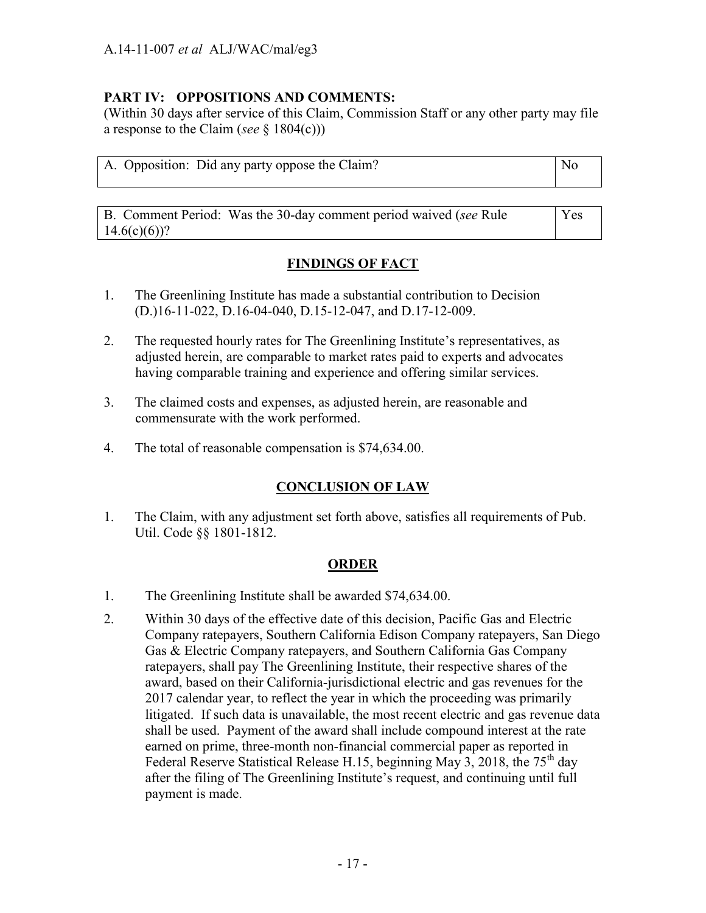### **PART IV: OPPOSITIONS AND COMMENTS:**

(Within 30 days after service of this Claim, Commission Staff or any other party may file a response to the Claim (*see* § 1804(c)))

|  | A. Opposition: Did any party oppose the Claim? | N |
|--|------------------------------------------------|---|
|  |                                                |   |

B. Comment Period: Was the 30-day comment period waived (*see* Rule  $14.6(c)(6)$ ? Yes

### **FINDINGS OF FACT**

- 1. The Greenlining Institute has made a substantial contribution to Decision (D.)16-11-022, D.16-04-040, D.15-12-047, and D.17-12-009.
- 2. The requested hourly rates for The Greenlining Institute's representatives, as adjusted herein, are comparable to market rates paid to experts and advocates having comparable training and experience and offering similar services.
- 3. The claimed costs and expenses, as adjusted herein, are reasonable and commensurate with the work performed.
- 4. The total of reasonable compensation is \$74,634.00.

### **CONCLUSION OF LAW**

1. The Claim, with any adjustment set forth above, satisfies all requirements of Pub. Util. Code §§ 1801-1812.

#### **ORDER**

- 1. The Greenlining Institute shall be awarded \$74,634.00.
- 2. Within 30 days of the effective date of this decision, Pacific Gas and Electric Company ratepayers, Southern California Edison Company ratepayers, San Diego Gas & Electric Company ratepayers, and Southern California Gas Company ratepayers, shall pay The Greenlining Institute, their respective shares of the award, based on their California-jurisdictional electric and gas revenues for the 2017 calendar year, to reflect the year in which the proceeding was primarily litigated. If such data is unavailable, the most recent electric and gas revenue data shall be used. Payment of the award shall include compound interest at the rate earned on prime, three-month non-financial commercial paper as reported in Federal Reserve Statistical Release H.15, beginning May 3, 2018, the 75<sup>th</sup> day after the filing of The Greenlining Institute's request, and continuing until full payment is made.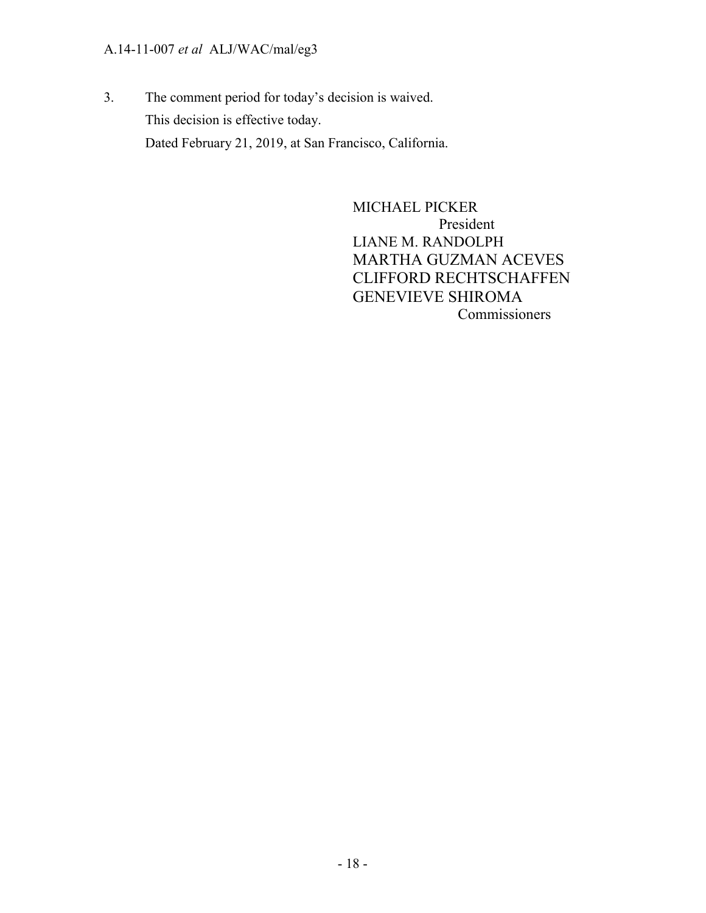### A.14-11-007 *et al* ALJ/WAC/mal/eg3

3. The comment period for today's decision is waived. This decision is effective today. Dated February 21, 2019, at San Francisco, California.

> MICHAEL PICKER President LIANE M. RANDOLPH MARTHA GUZMAN ACEVES CLIFFORD RECHTSCHAFFEN GENEVIEVE SHIROMA Commissioners